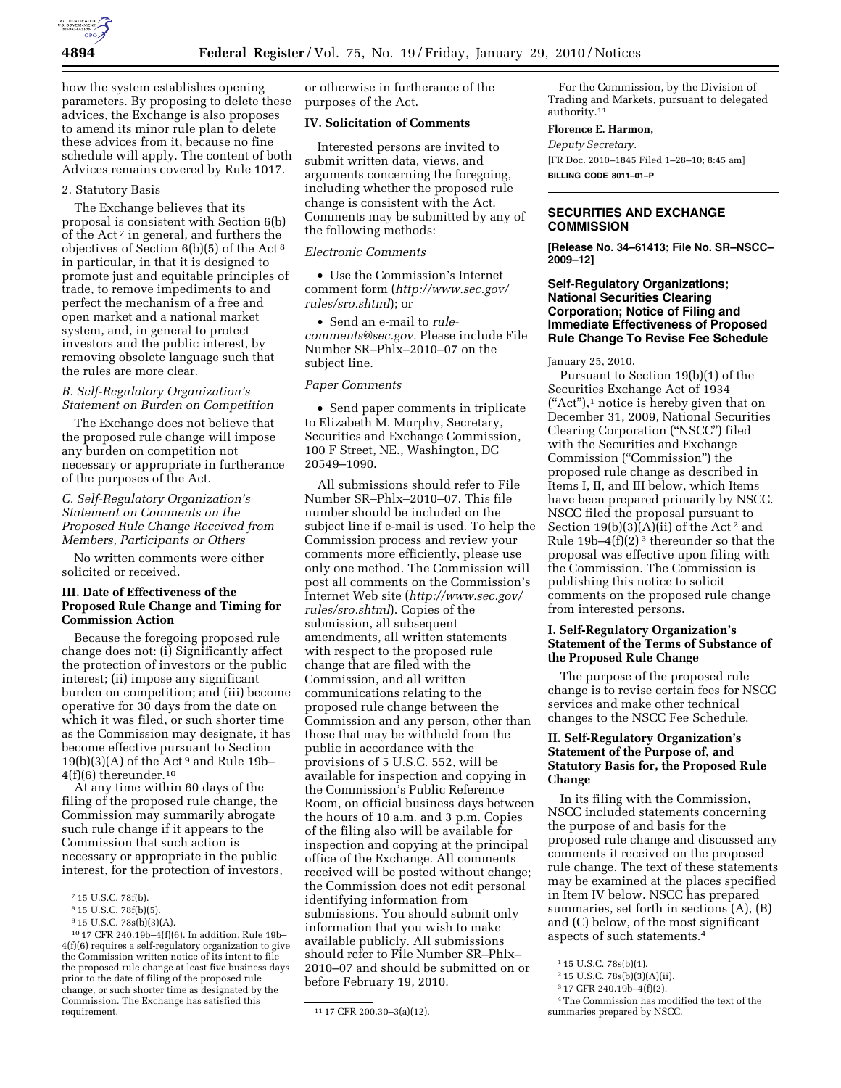

how the system establishes opening parameters. By proposing to delete these advices, the Exchange is also proposes to amend its minor rule plan to delete these advices from it, because no fine schedule will apply. The content of both Advices remains covered by Rule 1017.

# 2. Statutory Basis

The Exchange believes that its proposal is consistent with Section 6(b) of the Act 7 in general, and furthers the objectives of Section 6(b)(5) of the Act 8 in particular, in that it is designed to promote just and equitable principles of trade, to remove impediments to and perfect the mechanism of a free and open market and a national market system, and, in general to protect investors and the public interest, by removing obsolete language such that the rules are more clear.

#### *B. Self-Regulatory Organization's Statement on Burden on Competition*

The Exchange does not believe that the proposed rule change will impose any burden on competition not necessary or appropriate in furtherance of the purposes of the Act.

#### *C. Self-Regulatory Organization's Statement on Comments on the Proposed Rule Change Received from Members, Participants or Others*

No written comments were either solicited or received.

#### **III. Date of Effectiveness of the Proposed Rule Change and Timing for Commission Action**

Because the foregoing proposed rule change does not: (i) Significantly affect the protection of investors or the public interest; (ii) impose any significant burden on competition; and (iii) become operative for 30 days from the date on which it was filed, or such shorter time as the Commission may designate, it has become effective pursuant to Section  $19(b)(3)(A)$  of the Act<sup>9</sup> and Rule 19b- $4(f)(6)$  thereunder.<sup>10</sup>

At any time within 60 days of the filing of the proposed rule change, the Commission may summarily abrogate such rule change if it appears to the Commission that such action is necessary or appropriate in the public interest, for the protection of investors, or otherwise in furtherance of the purposes of the Act.

#### **IV. Solicitation of Comments**

Interested persons are invited to submit written data, views, and arguments concerning the foregoing, including whether the proposed rule change is consistent with the Act. Comments may be submitted by any of the following methods:

#### *Electronic Comments*

• Use the Commission's Internet comment form (*http://www.sec.gov/ rules/sro.shtml*); or

• Send an e-mail to *rulecomments@sec.gov.* Please include File Number SR–Phlx–2010–07 on the subject line.

# *Paper Comments*

• Send paper comments in triplicate to Elizabeth M. Murphy, Secretary, Securities and Exchange Commission, 100 F Street, NE., Washington, DC 20549–1090.

All submissions should refer to File Number SR–Phlx–2010–07. This file number should be included on the subject line if e-mail is used. To help the Commission process and review your comments more efficiently, please use only one method. The Commission will post all comments on the Commission's Internet Web site (*http://www.sec.gov/ rules/sro.shtml*). Copies of the submission, all subsequent amendments, all written statements with respect to the proposed rule change that are filed with the Commission, and all written communications relating to the proposed rule change between the Commission and any person, other than those that may be withheld from the public in accordance with the provisions of 5 U.S.C. 552, will be available for inspection and copying in the Commission's Public Reference Room, on official business days between the hours of 10 a.m. and 3 p.m. Copies of the filing also will be available for inspection and copying at the principal office of the Exchange. All comments received will be posted without change; the Commission does not edit personal identifying information from submissions. You should submit only information that you wish to make available publicly. All submissions should refer to File Number SR–Phlx– 2010–07 and should be submitted on or before February 19, 2010.

For the Commission, by the Division of Trading and Markets, pursuant to delegated authority.11

#### **Florence E. Harmon,**

*Deputy Secretary.*  [FR Doc. 2010–1845 Filed 1–28–10; 8:45 am] **BILLING CODE 8011–01–P** 

#### **SECURITIES AND EXCHANGE COMMISSION**

**[Release No. 34–61413; File No. SR–NSCC– 2009–12]** 

## **Self-Regulatory Organizations; National Securities Clearing Corporation; Notice of Filing and Immediate Effectiveness of Proposed Rule Change To Revise Fee Schedule**

January 25, 2010.

Pursuant to Section 19(b)(1) of the Securities Exchange Act of 1934  $("Act")$ ,<sup>1</sup> notice is hereby given that on December 31, 2009, National Securities Clearing Corporation (''NSCC'') filed with the Securities and Exchange Commission (''Commission'') the proposed rule change as described in Items I, II, and III below, which Items have been prepared primarily by NSCC. NSCC filed the proposal pursuant to Section  $19(b)(3)(A)(ii)$  of the Act<sup>2</sup> and Rule 19b–4 $(f)(2)^3$  thereunder so that the proposal was effective upon filing with the Commission. The Commission is publishing this notice to solicit comments on the proposed rule change from interested persons.

## **I. Self-Regulatory Organization's Statement of the Terms of Substance of the Proposed Rule Change**

The purpose of the proposed rule change is to revise certain fees for NSCC services and make other technical changes to the NSCC Fee Schedule.

## **II. Self-Regulatory Organization's Statement of the Purpose of, and Statutory Basis for, the Proposed Rule Change**

In its filing with the Commission, NSCC included statements concerning the purpose of and basis for the proposed rule change and discussed any comments it received on the proposed rule change. The text of these statements may be examined at the places specified in Item IV below. NSCC has prepared summaries, set forth in sections (A), (B) and (C) below, of the most significant aspects of such statements.4

<sup>7</sup> 15 U.S.C. 78f(b).

<sup>8</sup> 15 U.S.C. 78f(b)(5).

<sup>9</sup> 15 U.S.C. 78s(b)(3)(A).

<sup>10</sup> 17 CFR 240.19b–4(f)(6). In addition, Rule 19b– 4(f)(6) requires a self-regulatory organization to give the Commission written notice of its intent to file the proposed rule change at least five business days prior to the date of filing of the proposed rule change, or such shorter time as designated by the Commission. The Exchange has satisfied this

<sup>11 17</sup> CFR 200.30-3(a)(12).

<sup>1</sup> 15 U.S.C. 78s(b)(1).

<sup>2</sup> 15 U.S.C. 78s(b)(3)(A)(ii).

<sup>3</sup> 17 CFR 240.19b–4(f)(2).

<sup>4</sup>The Commission has modified the text of the summaries prepared by NSCC.